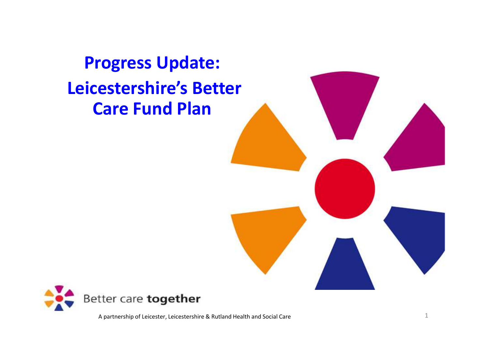**Progress Update:Leicestershire's Better Care Fund Plan**

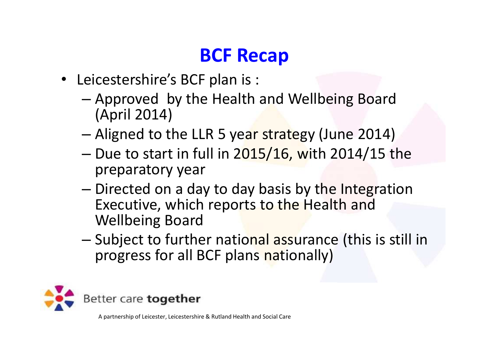## **BCF Recap**

- Leicestershire's BCF plan is :
	- –- Approved by the Health and Wellbeing Board (April 2014)
	- –– Aligned to the LLR 5 ye<mark>ar strate</mark>gy (June 2014)
	- –- Due to start in full in 2<mark>015/16, w</mark>ith 2014/15 the preparatory year
	- –- Directed on a day to day basis by the Integration Executive, which reports to the Health and Wellbeing Board
	- –- Subject to further national assurance (this is still in progress for all BCF plans nationally)

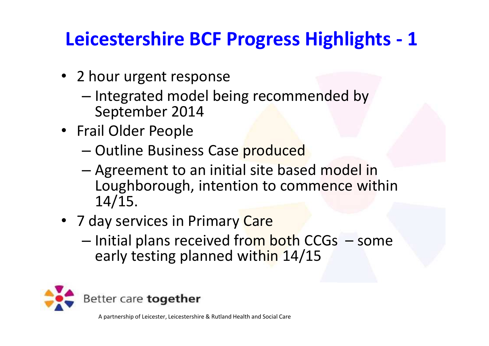## **Leicestershire BCF Progress Highlights - <sup>1</sup>**

- 2 hour urgent response
	- –- Integrated model being recommended by September 2014
- Frail Older People
	- –— Outline Business Case produced
	- –Agreement to an initial site based model in<br>Laughborough intention to commones with Loughborough, intention to commence within 14/15.
- 7 day services in Primary <mark>Care</mark>
	- –- Initial plans received from both CCGs - some early testing planned within 14/15